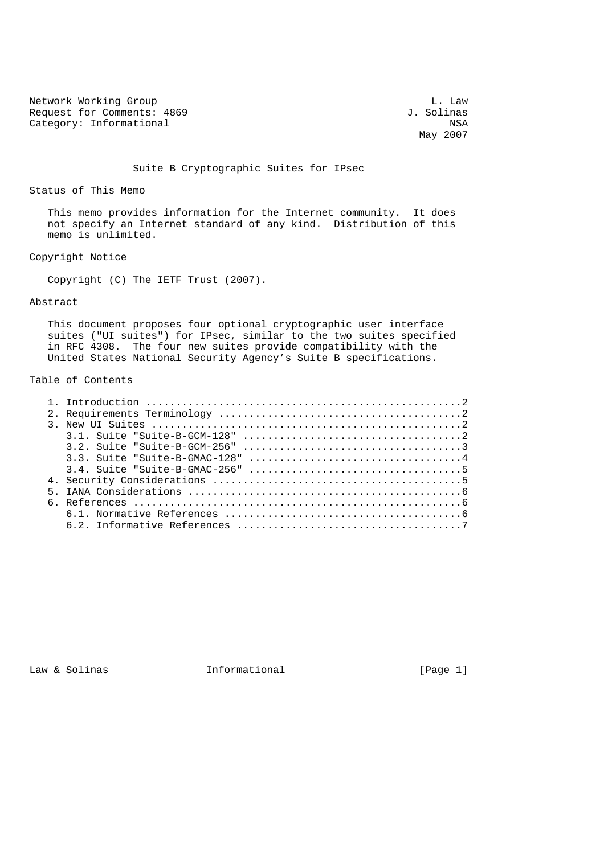Network Working Group<br>
Request for Comments: 4869<br>
J. Solinas Request for Comments: 4869 Category: Informational NSA

May 2007

## Suite B Cryptographic Suites for IPsec

### Status of This Memo

 This memo provides information for the Internet community. It does not specify an Internet standard of any kind. Distribution of this memo is unlimited.

## Copyright Notice

Copyright (C) The IETF Trust (2007).

## Abstract

 This document proposes four optional cryptographic user interface suites ("UI suites") for IPsec, similar to the two suites specified in RFC 4308. The four new suites provide compatibility with the United States National Security Agency's Suite B specifications.

# Table of Contents

Law & Solinas **Informational Informational** [Page 1]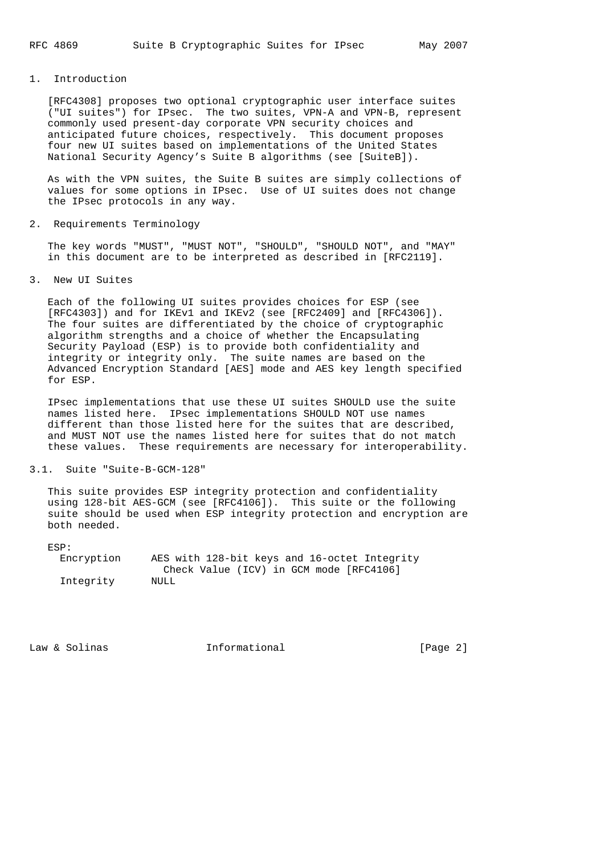## 1. Introduction

 [RFC4308] proposes two optional cryptographic user interface suites ("UI suites") for IPsec. The two suites, VPN-A and VPN-B, represent commonly used present-day corporate VPN security choices and anticipated future choices, respectively. This document proposes four new UI suites based on implementations of the United States National Security Agency's Suite B algorithms (see [SuiteB]).

 As with the VPN suites, the Suite B suites are simply collections of values for some options in IPsec. Use of UI suites does not change the IPsec protocols in any way.

2. Requirements Terminology

 The key words "MUST", "MUST NOT", "SHOULD", "SHOULD NOT", and "MAY" in this document are to be interpreted as described in [RFC2119].

### 3. New UI Suites

 Each of the following UI suites provides choices for ESP (see [RFC4303]) and for IKEv1 and IKEv2 (see [RFC2409] and [RFC4306]). The four suites are differentiated by the choice of cryptographic algorithm strengths and a choice of whether the Encapsulating Security Payload (ESP) is to provide both confidentiality and integrity or integrity only. The suite names are based on the Advanced Encryption Standard [AES] mode and AES key length specified for ESP.

 IPsec implementations that use these UI suites SHOULD use the suite names listed here. IPsec implementations SHOULD NOT use names different than those listed here for the suites that are described, and MUST NOT use the names listed here for suites that do not match these values. These requirements are necessary for interoperability.

## 3.1. Suite "Suite-B-GCM-128"

 This suite provides ESP integrity protection and confidentiality using 128-bit AES-GCM (see [RFC4106]). This suite or the following suite should be used when ESP integrity protection and encryption are both needed.

ESP:

| Encryption | AES with 128-bit keys and 16-octet Integrity |
|------------|----------------------------------------------|
|            | Check Value (ICV) in GCM mode [RFC4106]      |
| Integrity  | NULL                                         |

Law & Solinas **Informational** [Page 2]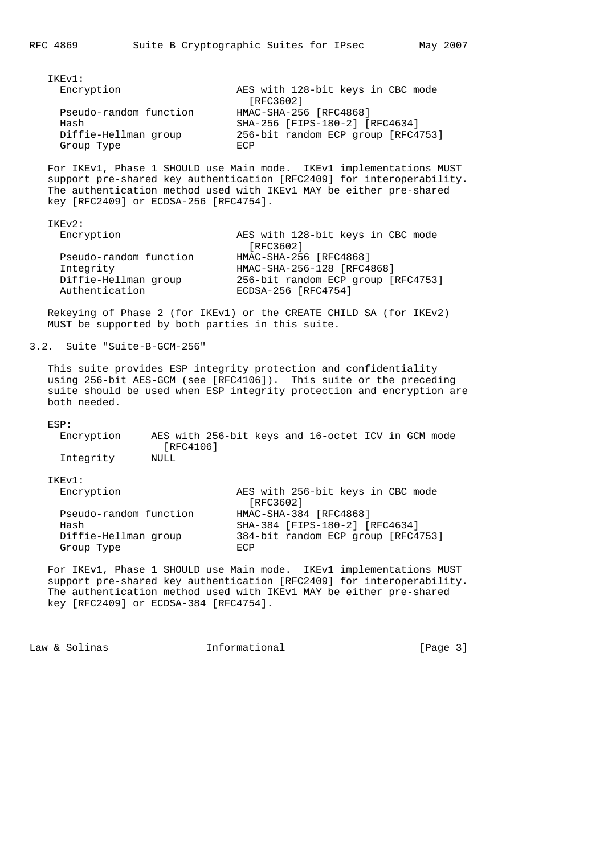| IKEv1:                 |                                    |
|------------------------|------------------------------------|
| Encryption             | AES with 128-bit keys in CBC mode  |
|                        | [RFC3602]                          |
| Pseudo-random function | HMAC-SHA-256 [RFC4868]             |
| Hash                   | SHA-256 [FIPS-180-2] [RFC4634]     |
| Diffie-Hellman group   | 256-bit random ECP group [RFC4753] |
| Group Type             | F.CP                               |

 For IKEv1, Phase 1 SHOULD use Main mode. IKEv1 implementations MUST support pre-shared key authentication [RFC2409] for interoperability. The authentication method used with IKEv1 MAY be either pre-shared key [RFC2409] or ECDSA-256 [RFC4754].

| IKEv2:                                                                        |                                                                                                                   |
|-------------------------------------------------------------------------------|-------------------------------------------------------------------------------------------------------------------|
| Encryption                                                                    | AES with 128-bit keys in CBC mode<br>[RFC3602]                                                                    |
| Pseudo-random function<br>Integrity<br>Diffie-Hellman group<br>Authentication | HMAC-SHA-256 [RFC4868]<br>HMAC-SHA-256-128 [RFC4868]<br>256-bit random ECP group [RFC4753]<br>ECDSA-256 [RFC4754] |

 Rekeying of Phase 2 (for IKEv1) or the CREATE\_CHILD\_SA (for IKEv2) MUST be supported by both parties in this suite.

# 3.2. Suite "Suite-B-GCM-256"

 This suite provides ESP integrity protection and confidentiality using 256-bit AES-GCM (see [RFC4106]). This suite or the preceding suite should be used when ESP integrity protection and encryption are both needed.

#### ESP:

| Encryption |      |           |  | AES with 256-bit keys and 16-octet ICV in GCM mode |  |  |
|------------|------|-----------|--|----------------------------------------------------|--|--|
|            |      | [RFC4106] |  |                                                    |  |  |
| Integrity  | NULL |           |  |                                                    |  |  |

IKEv1:<br>imtio

| Encryption             | AES with 256-bit keys in CBC mode<br>[RFC3602] |
|------------------------|------------------------------------------------|
| Pseudo-random function | HMAC-SHA-384 [RFC4868]                         |
|                        |                                                |
| Hash                   | SHA-384 [FIPS-180-2] [RFC4634]                 |
| Diffie-Hellman group   | 384-bit random ECP group [RFC4753]             |
| Group Type             | F.CP                                           |

For IKEv1, Phase 1 SHOULD use Main mode. IKEv1 implementations MUST support pre-shared key authentication [RFC2409] for interoperability. The authentication method used with IKEv1 MAY be either pre-shared key [RFC2409] or ECDSA-384 [RFC4754].

Law & Solinas **Informational** [Page 3]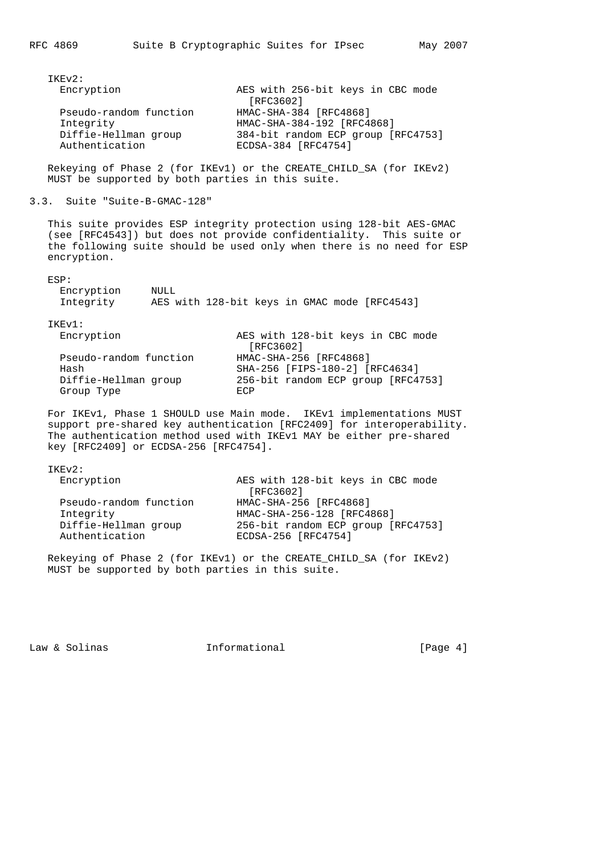| IKEv2:                 |                                    |
|------------------------|------------------------------------|
| Encryption             | AES with 256-bit keys in CBC mode  |
|                        | [RFC3602]                          |
| Pseudo-random function | HMAC-SHA-384 [RFC4868]             |
| Integrity              | HMAC-SHA-384-192 [RFC4868]         |
| Diffie-Hellman group   | 384-bit random ECP group [RFC4753] |
| Authentication         | ECDSA-384 [RFC4754]                |

 Rekeying of Phase 2 (for IKEv1) or the CREATE\_CHILD\_SA (for IKEv2) MUST be supported by both parties in this suite.

```
3.3. Suite "Suite-B-GMAC-128"
```
 This suite provides ESP integrity protection using 128-bit AES-GMAC (see [RFC4543]) but does not provide confidentiality. This suite or the following suite should be used only when there is no need for ESP encryption.

| AES with 128-bit keys in GMAC mode [RFC4543] |
|----------------------------------------------|
|                                              |
| AES with 128-bit keys in CBC mode            |
|                                              |
| SHA-256 [FIPS-180-2] [RFC4634]               |
| 256-bit random ECP group [RFC4753]           |
|                                              |
|                                              |

For IKEv1, Phase 1 SHOULD use Main mode. IKEv1 implementations MUST support pre-shared key authentication [RFC2409] for interoperability. The authentication method used with IKEv1 MAY be either pre-shared key [RFC2409] or ECDSA-256 [RFC4754].

IKEv2:

| Encryption                             | AES with 128-bit keys in CBC mode                         |
|----------------------------------------|-----------------------------------------------------------|
|                                        | [RFC3602]                                                 |
| Pseudo-random function                 | HMAC-SHA-256 [RFC4868]                                    |
| Integrity                              | HMAC-SHA-256-128 [RFC4868]                                |
| Diffie-Hellman group<br>Authentication | 256-bit random ECP group [RFC4753]<br>ECDSA-256 [RFC4754] |
|                                        |                                                           |

 Rekeying of Phase 2 (for IKEv1) or the CREATE\_CHILD\_SA (for IKEv2) MUST be supported by both parties in this suite.

Law & Solinas **Informational Informational** [Page 4]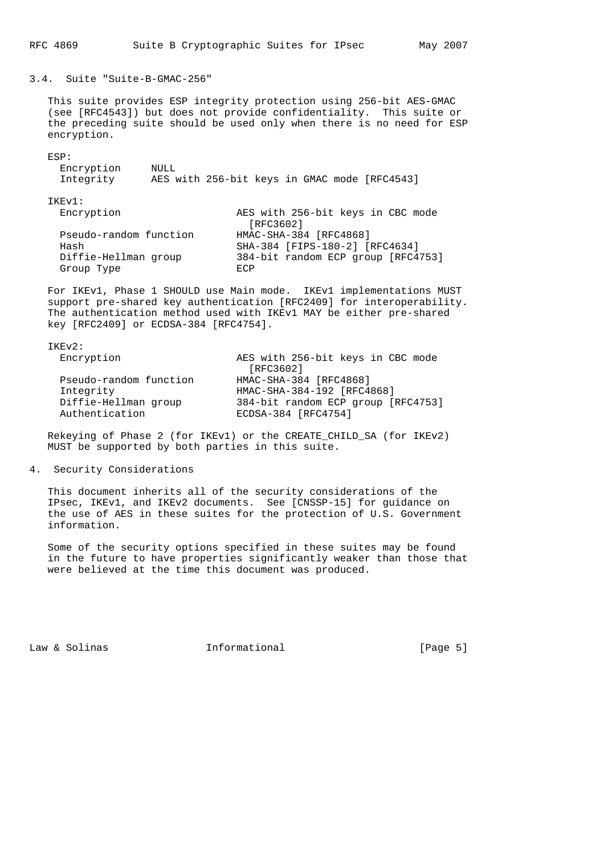3.4. Suite "Suite-B-GMAC-256"

 This suite provides ESP integrity protection using 256-bit AES-GMAC (see [RFC4543]) but does not provide confidentiality. This suite or the preceding suite should be used only when there is no need for ESP encryption.

ESP:

| Encryption | NULL                                         |  |
|------------|----------------------------------------------|--|
| Integrity  | AES with 256-bit keys in GMAC mode [RFC4543] |  |

IKEv1:

| + + + + + + + + +      |                                    |
|------------------------|------------------------------------|
| Encryption             | AES with 256-bit keys in CBC mode  |
|                        | [RFC3602]                          |
| Pseudo-random function | HMAC-SHA-384 [RFC4868]             |
| Hash                   | SHA-384 [FIPS-180-2] [RFC4634]     |
| Diffie-Hellman group   | 384-bit random ECP group [RFC4753] |
| Group Type             | <b>ECP</b>                         |

For IKEv1, Phase 1 SHOULD use Main mode. IKEv1 implementations MUST support pre-shared key authentication [RFC2409] for interoperability. The authentication method used with IKEv1 MAY be either pre-shared key [RFC2409] or ECDSA-384 [RFC4754].

IKEv2:

| Encryption             | AES with 256-bit keys in CBC mode  |
|------------------------|------------------------------------|
|                        | [RFC3602]                          |
| Pseudo-random function | HMAC-SHA-384 [RFC4868]             |
| Integrity              | HMAC-SHA-384-192 [RFC4868]         |
| Diffie-Hellman group   | 384-bit random ECP group [RFC4753] |
| Authentication         | ECDSA-384 [RFC4754]                |

 Rekeying of Phase 2 (for IKEv1) or the CREATE\_CHILD\_SA (for IKEv2) MUST be supported by both parties in this suite.

## 4. Security Considerations

 This document inherits all of the security considerations of the IPsec, IKEv1, and IKEv2 documents. See [CNSSP-15] for guidance on the use of AES in these suites for the protection of U.S. Government information.

 Some of the security options specified in these suites may be found in the future to have properties significantly weaker than those that were believed at the time this document was produced.

Law & Solinas **Informational Informational** [Page 5]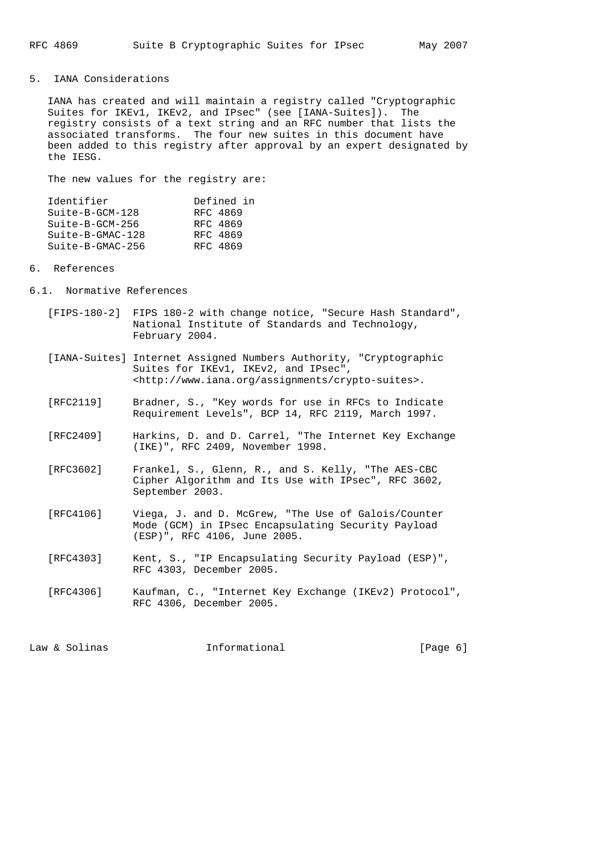## 5. IANA Considerations

 IANA has created and will maintain a registry called "Cryptographic Suites for IKEv1, IKEv2, and IPsec" (see [IANA-Suites]). The registry consists of a text string and an RFC number that lists the associated transforms. The four new suites in this document have been added to this registry after approval by an expert designated by the IESG.

The new values for the registry are:

| Identifier         | Defined in |
|--------------------|------------|
| $Suite-B-GCM-128$  | RFC 4869   |
| $Suite-B-GCM-256$  | RFC 4869   |
| $Suite-B-GMAC-128$ | RFC 4869   |
| Suite-B-GMAC-256   | RFC 4869   |
|                    |            |

### 6. References

- 6.1. Normative References
	- [FIPS-180-2] FIPS 180-2 with change notice, "Secure Hash Standard", National Institute of Standards and Technology, February 2004.
	- [IANA-Suites] Internet Assigned Numbers Authority, "Cryptographic Suites for IKEv1, IKEv2, and IPsec", <http://www.iana.org/assignments/crypto-suites>.
	- [RFC2119] Bradner, S., "Key words for use in RFCs to Indicate Requirement Levels", BCP 14, RFC 2119, March 1997.
	- [RFC2409] Harkins, D. and D. Carrel, "The Internet Key Exchange (IKE)", RFC 2409, November 1998.
	- [RFC3602] Frankel, S., Glenn, R., and S. Kelly, "The AES-CBC Cipher Algorithm and Its Use with IPsec", RFC 3602, September 2003.
	- [RFC4106] Viega, J. and D. McGrew, "The Use of Galois/Counter Mode (GCM) in IPsec Encapsulating Security Payload (ESP)", RFC 4106, June 2005.
	- [RFC4303] Kent, S., "IP Encapsulating Security Payload (ESP)", RFC 4303, December 2005.
	- [RFC4306] Kaufman, C., "Internet Key Exchange (IKEv2) Protocol", RFC 4306, December 2005.

Law & Solinas **Informational** 10 and 10 and 10 and 10 and 10 and 10 and 10 and 10 and 10 and 10 and 10 and 10 and 10 and 10 and 10 and 10 and 10 and 10 and 10 and 10 and 10 and 10 and 10 and 10 and 10 and 10 and 10 and 10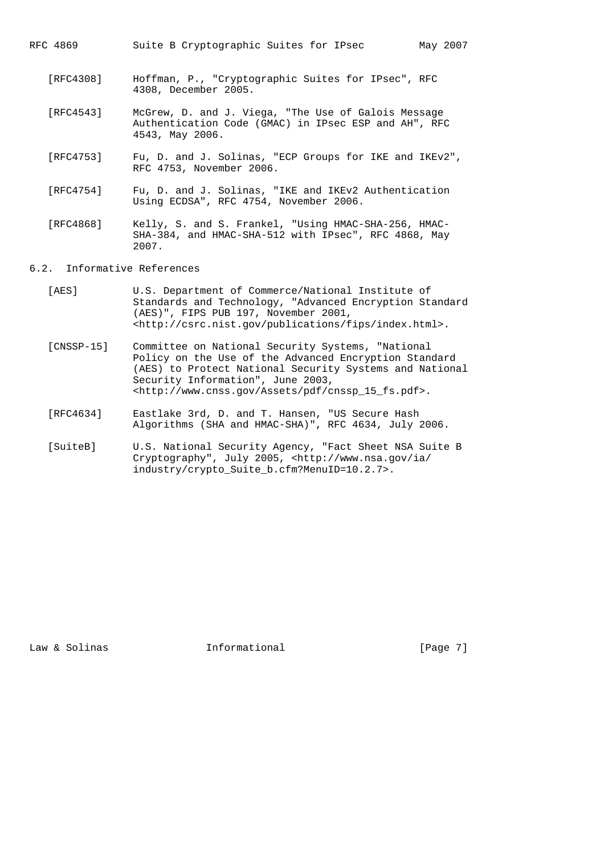| RFC 4869 | Suite B Cryptographic Suites for IPsec |  | May 2007 |
|----------|----------------------------------------|--|----------|
|----------|----------------------------------------|--|----------|

- [RFC4308] Hoffman, P., "Cryptographic Suites for IPsec", RFC 4308, December 2005.
- [RFC4543] McGrew, D. and J. Viega, "The Use of Galois Message Authentication Code (GMAC) in IPsec ESP and AH", RFC 4543, May 2006.
- [RFC4753] Fu, D. and J. Solinas, "ECP Groups for IKE and IKEv2", RFC 4753, November 2006.
- [RFC4754] Fu, D. and J. Solinas, "IKE and IKEv2 Authentication Using ECDSA", RFC 4754, November 2006.
- [RFC4868] Kelly, S. and S. Frankel, "Using HMAC-SHA-256, HMAC- SHA-384, and HMAC-SHA-512 with IPsec", RFC 4868, May 2007.
- 6.2. Informative References
	- [AES] U.S. Department of Commerce/National Institute of Standards and Technology, "Advanced Encryption Standard (AES)", FIPS PUB 197, November 2001, <http://csrc.nist.gov/publications/fips/index.html>.
	- [CNSSP-15] Committee on National Security Systems, "National Policy on the Use of the Advanced Encryption Standard (AES) to Protect National Security Systems and National Security Information", June 2003, <http://www.cnss.gov/Assets/pdf/cnssp\_15\_fs.pdf>.
	- [RFC4634] Eastlake 3rd, D. and T. Hansen, "US Secure Hash Algorithms (SHA and HMAC-SHA)", RFC 4634, July 2006.
	- [SuiteB] U.S. National Security Agency, "Fact Sheet NSA Suite B Cryptography", July 2005, <http://www.nsa.gov/ia/ industry/crypto\_Suite\_b.cfm?MenuID=10.2.7>.

Law & Solinas **Informational** 1. [Page 7]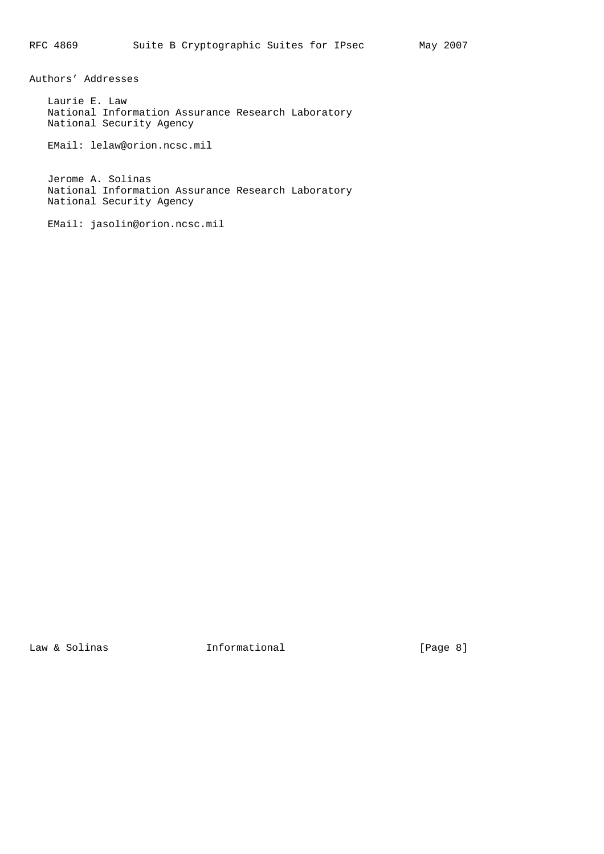Authors' Addresses

 Laurie E. Law National Information Assurance Research Laboratory National Security Agency

EMail: lelaw@orion.ncsc.mil

 Jerome A. Solinas National Information Assurance Research Laboratory National Security Agency

EMail: jasolin@orion.ncsc.mil

Law & Solinas **Informational** [Page 8]